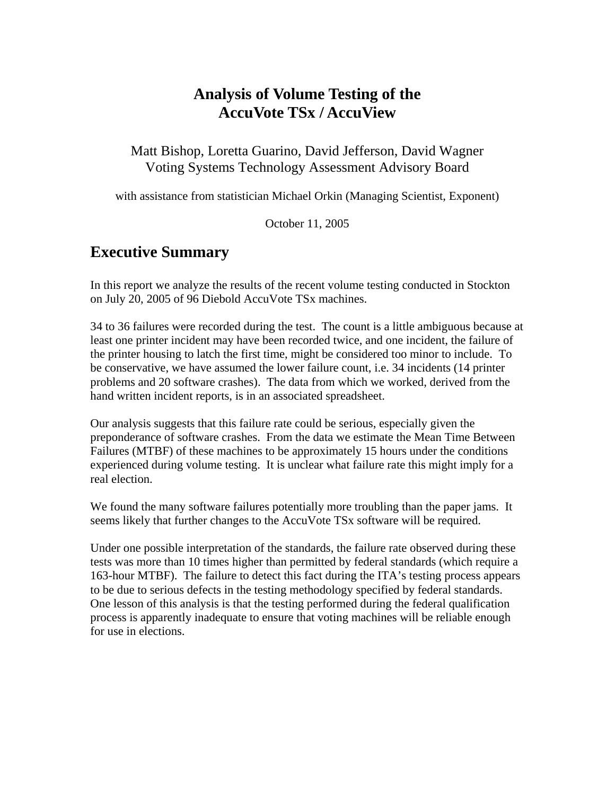# **Analysis of Volume Testing of the AccuVote TSx / AccuView**

#### Matt Bishop, Loretta Guarino, David Jefferson, David Wagner Voting Systems Technology Assessment Advisory Board

with assistance from statistician Michael Orkin (Managing Scientist, Exponent)

October 11, 2005

# **Executive Summary**

In this report we analyze the results of the recent volume testing conducted in Stockton on July 20, 2005 of 96 Diebold AccuVote TSx machines.

34 to 36 failures were recorded during the test. The count is a little ambiguous because at least one printer incident may have been recorded twice, and one incident, the failure of the printer housing to latch the first time, might be considered too minor to include. To be conservative, we have assumed the lower failure count, i.e. 34 incidents (14 printer problems and 20 software crashes). The data from which we worked, derived from the hand written incident reports, is in an associated spreadsheet.

Our analysis suggests that this failure rate could be serious, especially given the preponderance of software crashes. From the data we estimate the Mean Time Between Failures (MTBF) of these machines to be approximately 15 hours under the conditions experienced during volume testing. It is unclear what failure rate this might imply for a real election.

We found the many software failures potentially more troubling than the paper jams. It seems likely that further changes to the AccuVote TSx software will be required.

Under one possible interpretation of the standards, the failure rate observed during these tests was more than 10 times higher than permitted by federal standards (which require a 163-hour MTBF). The failure to detect this fact during the ITA's testing process appears to be due to serious defects in the testing methodology specified by federal standards. One lesson of this analysis is that the testing performed during the federal qualification process is apparently inadequate to ensure that voting machines will be reliable enough for use in elections.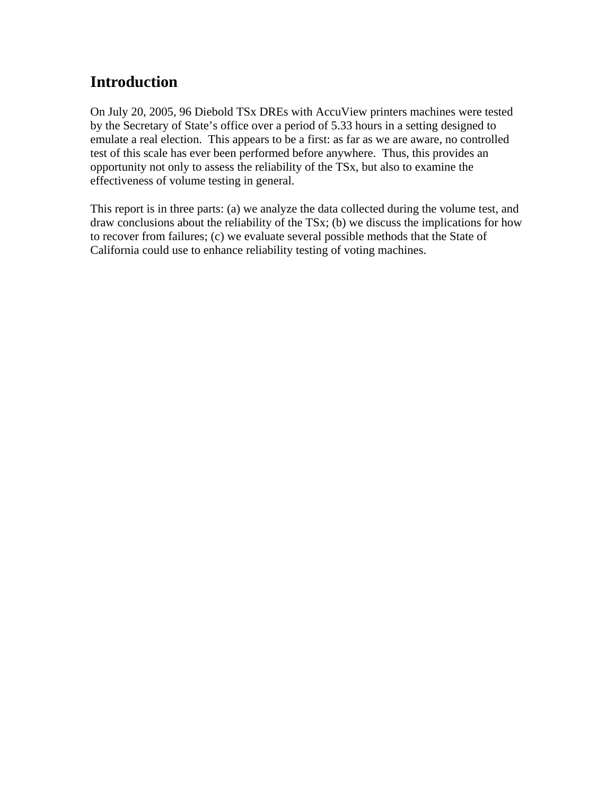# **Introduction**

On July 20, 2005, 96 Diebold TSx DREs with AccuView printers machines were tested by the Secretary of State's office over a period of 5.33 hours in a setting designed to emulate a real election. This appears to be a first: as far as we are aware, no controlled test of this scale has ever been performed before anywhere. Thus, this provides an opportunity not only to assess the reliability of the TSx, but also to examine the effectiveness of volume testing in general.

This report is in three parts: (a) we analyze the data collected during the volume test, and draw conclusions about the reliability of the TSx; (b) we discuss the implications for how to recover from failures; (c) we evaluate several possible methods that the State of California could use to enhance reliability testing of voting machines.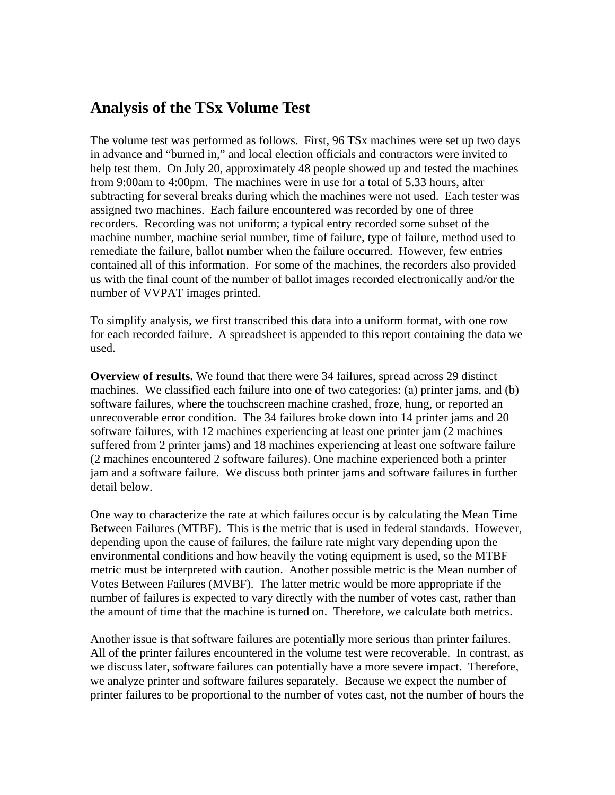## **Analysis of the TSx Volume Test**

The volume test was performed as follows. First, 96 TSx machines were set up two days in advance and "burned in," and local election officials and contractors were invited to help test them. On July 20, approximately 48 people showed up and tested the machines from 9:00am to 4:00pm. The machines were in use for a total of 5.33 hours, after subtracting for several breaks during which the machines were not used. Each tester was assigned two machines. Each failure encountered was recorded by one of three recorders. Recording was not uniform; a typical entry recorded some subset of the machine number, machine serial number, time of failure, type of failure, method used to remediate the failure, ballot number when the failure occurred. However, few entries contained all of this information. For some of the machines, the recorders also provided us with the final count of the number of ballot images recorded electronically and/or the number of VVPAT images printed.

To simplify analysis, we first transcribed this data into a uniform format, with one row for each recorded failure. A spreadsheet is appended to this report containing the data we used.

**Overview of results.** We found that there were 34 failures, spread across 29 distinct machines. We classified each failure into one of two categories: (a) printer jams, and (b) software failures, where the touchscreen machine crashed, froze, hung, or reported an unrecoverable error condition. The 34 failures broke down into 14 printer jams and 20 software failures, with 12 machines experiencing at least one printer jam (2 machines suffered from 2 printer jams) and 18 machines experiencing at least one software failure (2 machines encountered 2 software failures). One machine experienced both a printer jam and a software failure. We discuss both printer jams and software failures in further detail below.

One way to characterize the rate at which failures occur is by calculating the Mean Time Between Failures (MTBF). This is the metric that is used in federal standards. However, depending upon the cause of failures, the failure rate might vary depending upon the environmental conditions and how heavily the voting equipment is used, so the MTBF metric must be interpreted with caution. Another possible metric is the Mean number of Votes Between Failures (MVBF). The latter metric would be more appropriate if the number of failures is expected to vary directly with the number of votes cast, rather than the amount of time that the machine is turned on. Therefore, we calculate both metrics.

Another issue is that software failures are potentially more serious than printer failures. All of the printer failures encountered in the volume test were recoverable. In contrast, as we discuss later, software failures can potentially have a more severe impact. Therefore, we analyze printer and software failures separately. Because we expect the number of printer failures to be proportional to the number of votes cast, not the number of hours the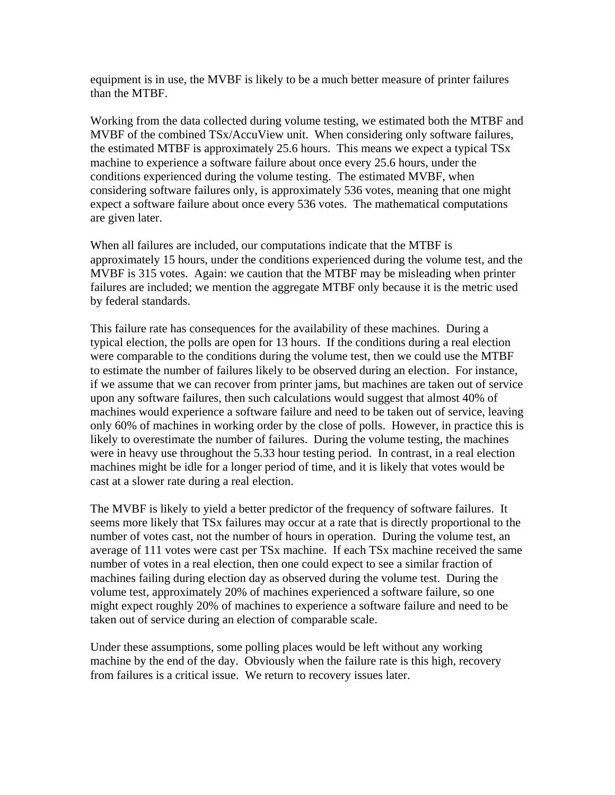equipment is in use, the MVBF is likely to be a much better measure of printer failures than the MTBF.

Working from the data collected during volume testing, we estimated both the MTBF and MVBF of the combined TSx/AccuView unit. When considering only software failures, the estimated MTBF is approximately 25.6 hours. This means we expect a typical TSx machine to experience a software failure about once every 25.6 hours, under the conditions experienced during the volume testing. The estimated MVBF, when considering software failures only, is approximately 536 votes, meaning that one might expect a software failure about once every 536 votes. The mathematical computations are given later.

When all failures are included, our computations indicate that the MTBF is approximately 15 hours, under the conditions experienced during the volume test, and the MVBF is 315 votes. Again: we caution that the MTBF may be misleading when printer failures are included; we mention the aggregate MTBF only because it is the metric used by federal standards.

This failure rate has consequences for the availability of these machines. During a typical election, the polls are open for 13 hours. If the conditions during a real election were comparable to the conditions during the volume test, then we could use the MTBF to estimate the number of failures likely to be observed during an election. For instance, if we assume that we can recover from printer jams, but machines are taken out of service upon any software failures, then such calculations would suggest that almost 40% of machines would experience a software failure and need to be taken out of service, leaving only 60% of machines in working order by the close of polls. However, in practice this is likely to overestimate the number of failures. During the volume testing, the machines were in heavy use throughout the 5.33 hour testing period. In contrast, in a real election machines might be idle for a longer period of time, and it is likely that votes would be cast at a slower rate during a real election.

The MVBF is likely to yield a better predictor of the frequency of software failures. It seems more likely that TSx failures may occur at a rate that is directly proportional to the number of votes cast, not the number of hours in operation. During the volume test, an average of 111 votes were cast per TSx machine. If each TSx machine received the same number of votes in a real election, then one could expect to see a similar fraction of machines failing during election day as observed during the volume test. During the volume test, approximately 20% of machines experienced a software failure, so one might expect roughly 20% of machines to experience a software failure and need to be taken out of service during an election of comparable scale.

Under these assumptions, some polling places would be left without any working machine by the end of the day. Obviously when the failure rate is this high, recovery from failures is a critical issue. We return to recovery issues later.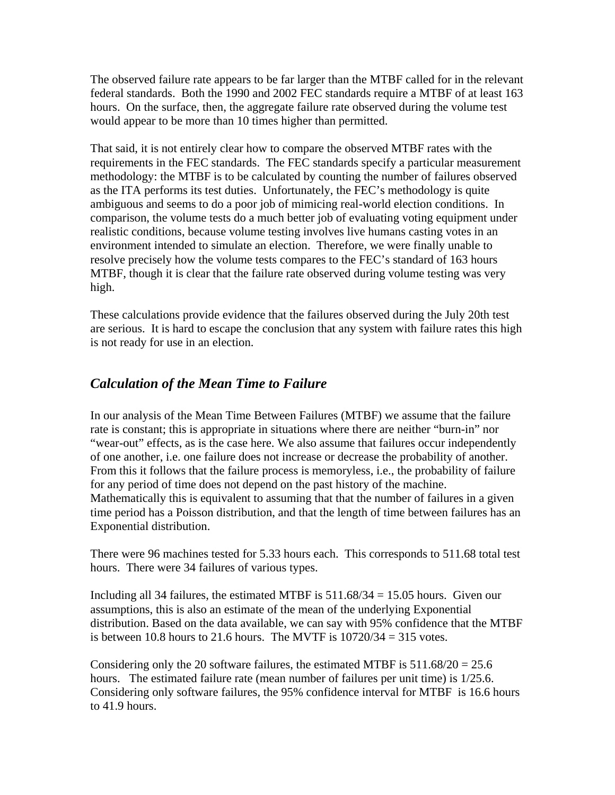The observed failure rate appears to be far larger than the MTBF called for in the relevant federal standards. Both the 1990 and 2002 FEC standards require a MTBF of at least 163 hours. On the surface, then, the aggregate failure rate observed during the volume test would appear to be more than 10 times higher than permitted.

That said, it is not entirely clear how to compare the observed MTBF rates with the requirements in the FEC standards. The FEC standards specify a particular measurement methodology: the MTBF is to be calculated by counting the number of failures observed as the ITA performs its test duties. Unfortunately, the FEC's methodology is quite ambiguous and seems to do a poor job of mimicing real-world election conditions. In comparison, the volume tests do a much better job of evaluating voting equipment under realistic conditions, because volume testing involves live humans casting votes in an environment intended to simulate an election. Therefore, we were finally unable to resolve precisely how the volume tests compares to the FEC's standard of 163 hours MTBF, though it is clear that the failure rate observed during volume testing was very high.

These calculations provide evidence that the failures observed during the July 20th test are serious. It is hard to escape the conclusion that any system with failure rates this high is not ready for use in an election.

### *Calculation of the Mean Time to Failure*

In our analysis of the Mean Time Between Failures (MTBF) we assume that the failure rate is constant; this is appropriate in situations where there are neither "burn-in" nor "wear-out" effects, as is the case here. We also assume that failures occur independently of one another, i.e. one failure does not increase or decrease the probability of another. From this it follows that the failure process is memoryless, i.e., the probability of failure for any period of time does not depend on the past history of the machine. Mathematically this is equivalent to assuming that that the number of failures in a given time period has a Poisson distribution, and that the length of time between failures has an Exponential distribution.

There were 96 machines tested for 5.33 hours each. This corresponds to 511.68 total test hours. There were 34 failures of various types.

Including all 34 failures, the estimated MTBF is  $511.68/34 = 15.05$  hours. Given our assumptions, this is also an estimate of the mean of the underlying Exponential distribution. Based on the data available, we can say with 95% confidence that the MTBF is between 10.8 hours to 21.6 hours. The MVTF is  $10720/34 = 315$  votes.

Considering only the 20 software failures, the estimated MTBF is  $511.68/20 = 25.6$ hours. The estimated failure rate (mean number of failures per unit time) is 1/25.6. Considering only software failures, the 95% confidence interval for MTBF is 16.6 hours to 41.9 hours.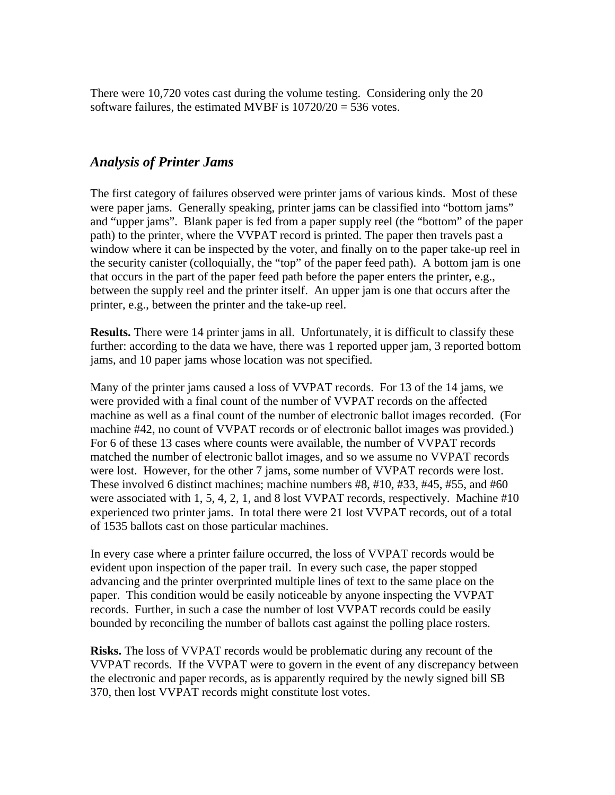There were 10,720 votes cast during the volume testing. Considering only the 20 software failures, the estimated MVBF is  $10720/20 = 536$  votes.

#### *Analysis of Printer Jams*

The first category of failures observed were printer jams of various kinds. Most of these were paper jams. Generally speaking, printer jams can be classified into "bottom jams" and "upper jams". Blank paper is fed from a paper supply reel (the "bottom" of the paper path) to the printer, where the VVPAT record is printed. The paper then travels past a window where it can be inspected by the voter, and finally on to the paper take-up reel in the security canister (colloquially, the "top" of the paper feed path). A bottom jam is one that occurs in the part of the paper feed path before the paper enters the printer, e.g., between the supply reel and the printer itself. An upper jam is one that occurs after the printer, e.g., between the printer and the take-up reel.

**Results.** There were 14 printer jams in all. Unfortunately, it is difficult to classify these further: according to the data we have, there was 1 reported upper jam, 3 reported bottom jams, and 10 paper jams whose location was not specified.

Many of the printer jams caused a loss of VVPAT records. For 13 of the 14 jams, we were provided with a final count of the number of VVPAT records on the affected machine as well as a final count of the number of electronic ballot images recorded. (For machine #42, no count of VVPAT records or of electronic ballot images was provided.) For 6 of these 13 cases where counts were available, the number of VVPAT records matched the number of electronic ballot images, and so we assume no VVPAT records were lost. However, for the other 7 jams, some number of VVPAT records were lost. These involved 6 distinct machines; machine numbers #8, #10, #33, #45, #55, and #60 were associated with 1, 5, 4, 2, 1, and 8 lost VVPAT records, respectively. Machine #10 experienced two printer jams. In total there were 21 lost VVPAT records, out of a total of 1535 ballots cast on those particular machines.

In every case where a printer failure occurred, the loss of VVPAT records would be evident upon inspection of the paper trail. In every such case, the paper stopped advancing and the printer overprinted multiple lines of text to the same place on the paper. This condition would be easily noticeable by anyone inspecting the VVPAT records. Further, in such a case the number of lost VVPAT records could be easily bounded by reconciling the number of ballots cast against the polling place rosters.

**Risks.** The loss of VVPAT records would be problematic during any recount of the VVPAT records. If the VVPAT were to govern in the event of any discrepancy between the electronic and paper records, as is apparently required by the newly signed bill SB 370, then lost VVPAT records might constitute lost votes.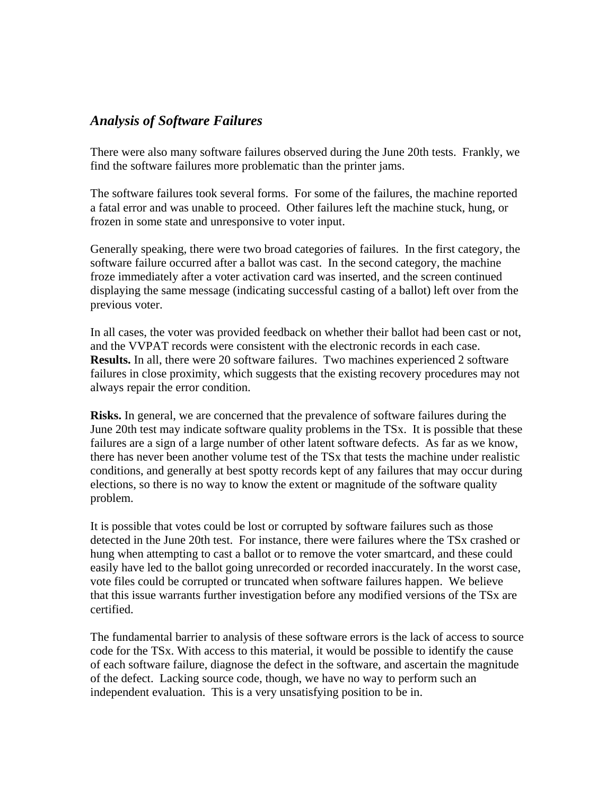### *Analysis of Software Failures*

There were also many software failures observed during the June 20th tests. Frankly, we find the software failures more problematic than the printer jams.

The software failures took several forms. For some of the failures, the machine reported a fatal error and was unable to proceed. Other failures left the machine stuck, hung, or frozen in some state and unresponsive to voter input.

Generally speaking, there were two broad categories of failures. In the first category, the software failure occurred after a ballot was cast. In the second category, the machine froze immediately after a voter activation card was inserted, and the screen continued displaying the same message (indicating successful casting of a ballot) left over from the previous voter.

In all cases, the voter was provided feedback on whether their ballot had been cast or not, and the VVPAT records were consistent with the electronic records in each case. **Results.** In all, there were 20 software failures. Two machines experienced 2 software failures in close proximity, which suggests that the existing recovery procedures may not always repair the error condition.

**Risks.** In general, we are concerned that the prevalence of software failures during the June 20th test may indicate software quality problems in the TSx. It is possible that these failures are a sign of a large number of other latent software defects. As far as we know, there has never been another volume test of the TSx that tests the machine under realistic conditions, and generally at best spotty records kept of any failures that may occur during elections, so there is no way to know the extent or magnitude of the software quality problem.

It is possible that votes could be lost or corrupted by software failures such as those detected in the June 20th test. For instance, there were failures where the TSx crashed or hung when attempting to cast a ballot or to remove the voter smartcard, and these could easily have led to the ballot going unrecorded or recorded inaccurately. In the worst case, vote files could be corrupted or truncated when software failures happen. We believe that this issue warrants further investigation before any modified versions of the TSx are certified.

The fundamental barrier to analysis of these software errors is the lack of access to source code for the TSx. With access to this material, it would be possible to identify the cause of each software failure, diagnose the defect in the software, and ascertain the magnitude of the defect. Lacking source code, though, we have no way to perform such an independent evaluation. This is a very unsatisfying position to be in.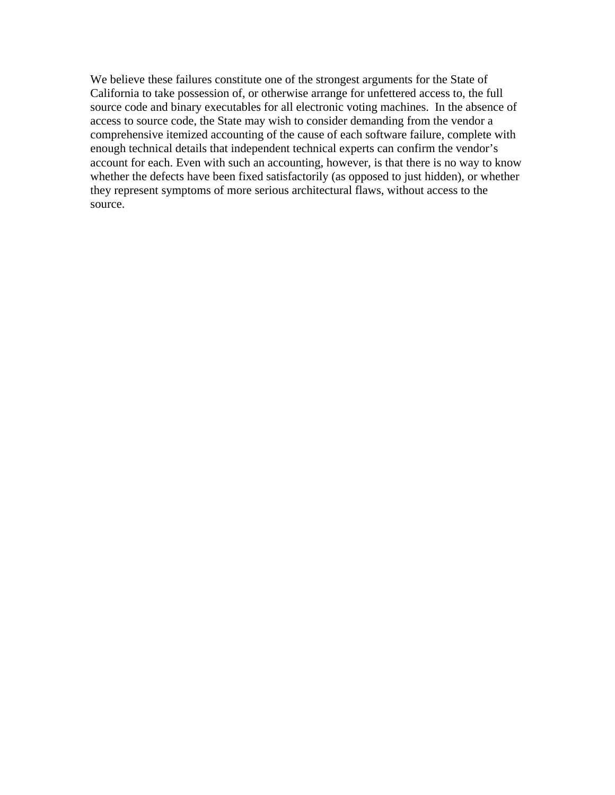We believe these failures constitute one of the strongest arguments for the State of California to take possession of, or otherwise arrange for unfettered access to, the full source code and binary executables for all electronic voting machines. In the absence of access to source code, the State may wish to consider demanding from the vendor a comprehensive itemized accounting of the cause of each software failure, complete with enough technical details that independent technical experts can confirm the vendor's account for each. Even with such an accounting, however, is that there is no way to know whether the defects have been fixed satisfactorily (as opposed to just hidden), or whether they represent symptoms of more serious architectural flaws, without access to the source.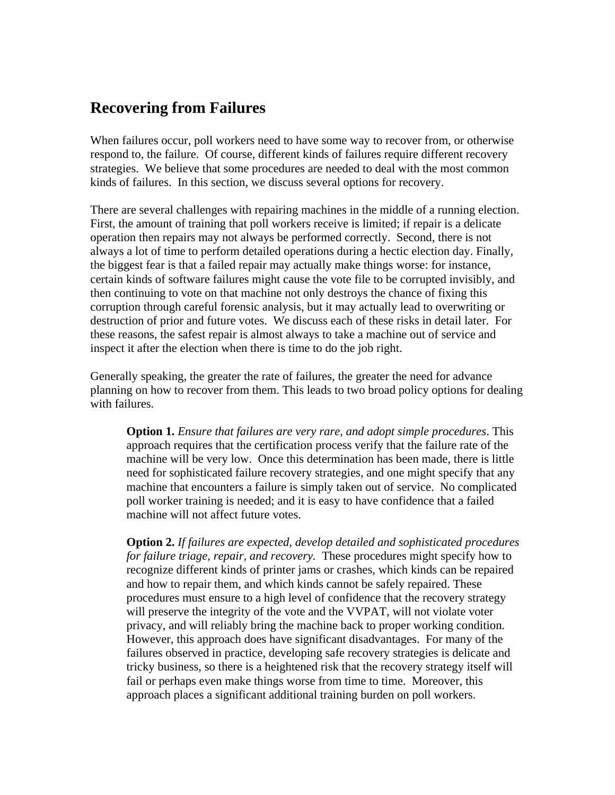## **Recovering from Failures**

When failures occur, poll workers need to have some way to recover from, or otherwise respond to, the failure. Of course, different kinds of failures require different recovery strategies. We believe that some procedures are needed to deal with the most common kinds of failures. In this section, we discuss several options for recovery.

There are several challenges with repairing machines in the middle of a running election. First, the amount of training that poll workers receive is limited; if repair is a delicate operation then repairs may not always be performed correctly. Second, there is not always a lot of time to perform detailed operations during a hectic election day. Finally, the biggest fear is that a failed repair may actually make things worse: for instance, certain kinds of software failures might cause the vote file to be corrupted invisibly, and then continuing to vote on that machine not only destroys the chance of fixing this corruption through careful forensic analysis, but it may actually lead to overwriting or destruction of prior and future votes. We discuss each of these risks in detail later. For these reasons, the safest repair is almost always to take a machine out of service and inspect it after the election when there is time to do the job right.

Generally speaking, the greater the rate of failures, the greater the need for advance planning on how to recover from them. This leads to two broad policy options for dealing with failures.

**Option 1.** *Ensure that failures are very rare, and adopt simple procedures*. This approach requires that the certification process verify that the failure rate of the machine will be very low. Once this determination has been made, there is little need for sophisticated failure recovery strategies, and one might specify that any machine that encounters a failure is simply taken out of service. No complicated poll worker training is needed; and it is easy to have confidence that a failed machine will not affect future votes.

**Option 2.** *If failures are expected, develop detailed and sophisticated procedures for failure triage, repair, and recovery.* These procedures might specify how to recognize different kinds of printer jams or crashes, which kinds can be repaired and how to repair them, and which kinds cannot be safely repaired. These procedures must ensure to a high level of confidence that the recovery strategy will preserve the integrity of the vote and the VVPAT, will not violate voter privacy, and will reliably bring the machine back to proper working condition. However, this approach does have significant disadvantages. For many of the failures observed in practice, developing safe recovery strategies is delicate and tricky business, so there is a heightened risk that the recovery strategy itself will fail or perhaps even make things worse from time to time. Moreover, this approach places a significant additional training burden on poll workers.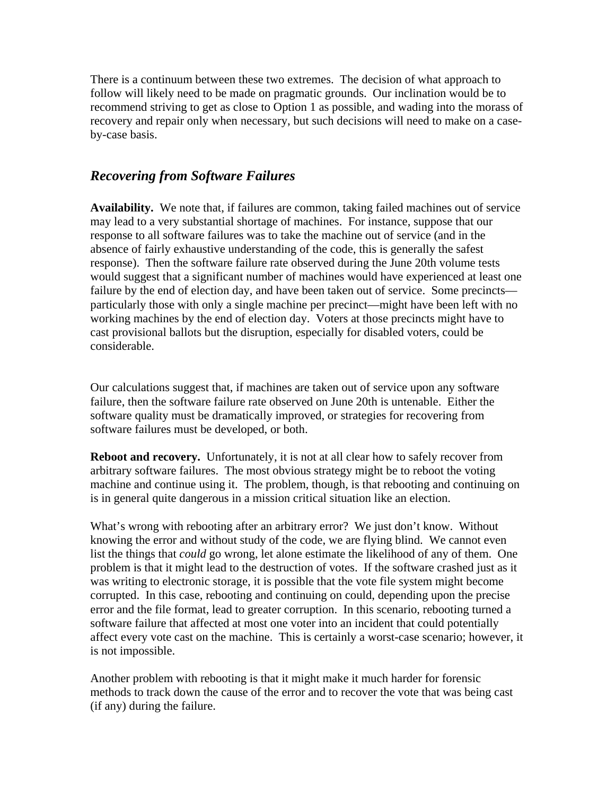There is a continuum between these two extremes. The decision of what approach to follow will likely need to be made on pragmatic grounds. Our inclination would be to recommend striving to get as close to Option 1 as possible, and wading into the morass of recovery and repair only when necessary, but such decisions will need to make on a caseby-case basis.

#### *Recovering from Software Failures*

**Availability.** We note that, if failures are common, taking failed machines out of service may lead to a very substantial shortage of machines. For instance, suppose that our response to all software failures was to take the machine out of service (and in the absence of fairly exhaustive understanding of the code, this is generally the safest response). Then the software failure rate observed during the June 20th volume tests would suggest that a significant number of machines would have experienced at least one failure by the end of election day, and have been taken out of service. Some precincts particularly those with only a single machine per precinct—might have been left with no working machines by the end of election day. Voters at those precincts might have to cast provisional ballots but the disruption, especially for disabled voters, could be considerable.

Our calculations suggest that, if machines are taken out of service upon any software failure, then the software failure rate observed on June 20th is untenable. Either the software quality must be dramatically improved, or strategies for recovering from software failures must be developed, or both.

**Reboot and recovery.** Unfortunately, it is not at all clear how to safely recover from arbitrary software failures. The most obvious strategy might be to reboot the voting machine and continue using it. The problem, though, is that rebooting and continuing on is in general quite dangerous in a mission critical situation like an election.

What's wrong with rebooting after an arbitrary error? We just don't know. Without knowing the error and without study of the code, we are flying blind. We cannot even list the things that *could* go wrong, let alone estimate the likelihood of any of them. One problem is that it might lead to the destruction of votes. If the software crashed just as it was writing to electronic storage, it is possible that the vote file system might become corrupted. In this case, rebooting and continuing on could, depending upon the precise error and the file format, lead to greater corruption. In this scenario, rebooting turned a software failure that affected at most one voter into an incident that could potentially affect every vote cast on the machine. This is certainly a worst-case scenario; however, it is not impossible.

Another problem with rebooting is that it might make it much harder for forensic methods to track down the cause of the error and to recover the vote that was being cast (if any) during the failure.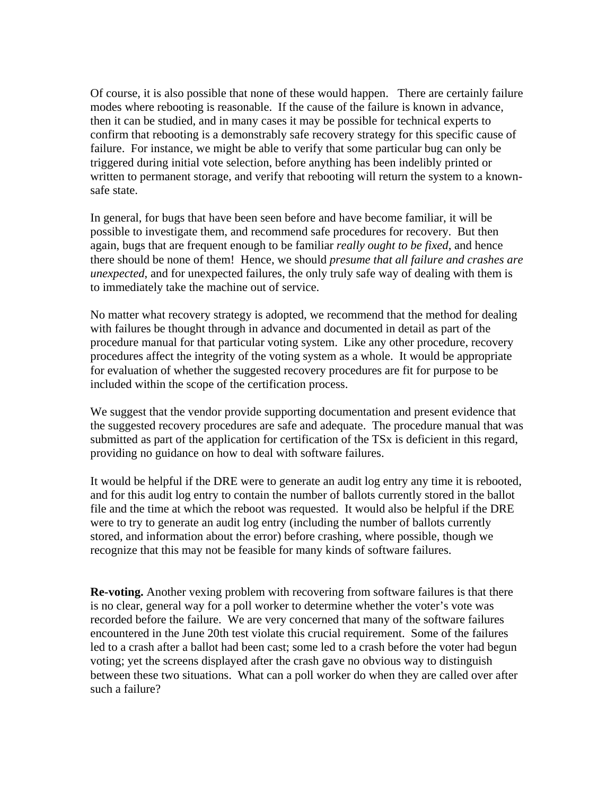Of course, it is also possible that none of these would happen. There are certainly failure modes where rebooting is reasonable. If the cause of the failure is known in advance, then it can be studied, and in many cases it may be possible for technical experts to confirm that rebooting is a demonstrably safe recovery strategy for this specific cause of failure. For instance, we might be able to verify that some particular bug can only be triggered during initial vote selection, before anything has been indelibly printed or written to permanent storage, and verify that rebooting will return the system to a knownsafe state.

In general, for bugs that have been seen before and have become familiar, it will be possible to investigate them, and recommend safe procedures for recovery. But then again, bugs that are frequent enough to be familiar *really ought to be fixed*, and hence there should be none of them! Hence, we should *presume that all failure and crashes are unexpected*, and for unexpected failures, the only truly safe way of dealing with them is to immediately take the machine out of service.

No matter what recovery strategy is adopted, we recommend that the method for dealing with failures be thought through in advance and documented in detail as part of the procedure manual for that particular voting system. Like any other procedure, recovery procedures affect the integrity of the voting system as a whole. It would be appropriate for evaluation of whether the suggested recovery procedures are fit for purpose to be included within the scope of the certification process.

We suggest that the vendor provide supporting documentation and present evidence that the suggested recovery procedures are safe and adequate. The procedure manual that was submitted as part of the application for certification of the TSx is deficient in this regard, providing no guidance on how to deal with software failures.

It would be helpful if the DRE were to generate an audit log entry any time it is rebooted, and for this audit log entry to contain the number of ballots currently stored in the ballot file and the time at which the reboot was requested. It would also be helpful if the DRE were to try to generate an audit log entry (including the number of ballots currently stored, and information about the error) before crashing, where possible, though we recognize that this may not be feasible for many kinds of software failures.

**Re-voting.** Another vexing problem with recovering from software failures is that there is no clear, general way for a poll worker to determine whether the voter's vote was recorded before the failure. We are very concerned that many of the software failures encountered in the June 20th test violate this crucial requirement. Some of the failures led to a crash after a ballot had been cast; some led to a crash before the voter had begun voting; yet the screens displayed after the crash gave no obvious way to distinguish between these two situations. What can a poll worker do when they are called over after such a failure?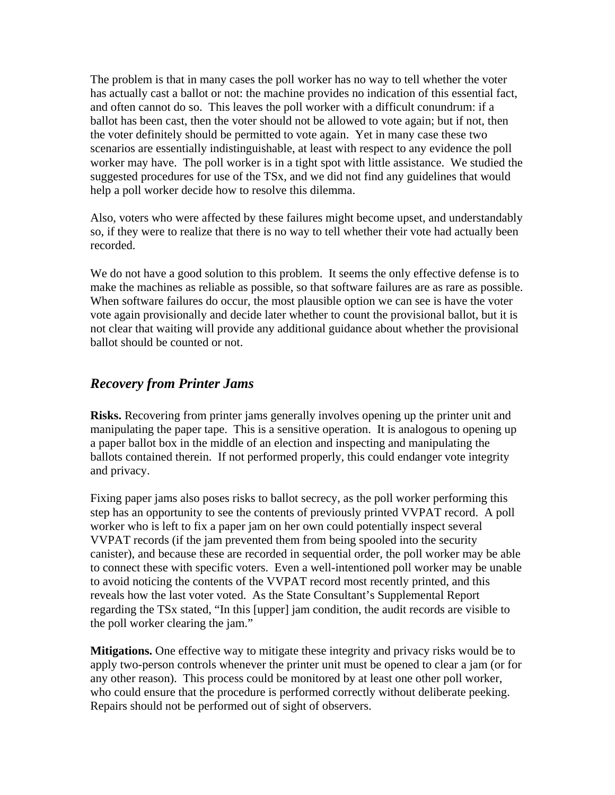The problem is that in many cases the poll worker has no way to tell whether the voter has actually cast a ballot or not: the machine provides no indication of this essential fact, and often cannot do so. This leaves the poll worker with a difficult conundrum: if a ballot has been cast, then the voter should not be allowed to vote again; but if not, then the voter definitely should be permitted to vote again. Yet in many case these two scenarios are essentially indistinguishable, at least with respect to any evidence the poll worker may have. The poll worker is in a tight spot with little assistance. We studied the suggested procedures for use of the TSx, and we did not find any guidelines that would help a poll worker decide how to resolve this dilemma.

Also, voters who were affected by these failures might become upset, and understandably so, if they were to realize that there is no way to tell whether their vote had actually been recorded.

We do not have a good solution to this problem. It seems the only effective defense is to make the machines as reliable as possible, so that software failures are as rare as possible. When software failures do occur, the most plausible option we can see is have the voter vote again provisionally and decide later whether to count the provisional ballot, but it is not clear that waiting will provide any additional guidance about whether the provisional ballot should be counted or not.

#### *Recovery from Printer Jams*

**Risks.** Recovering from printer jams generally involves opening up the printer unit and manipulating the paper tape. This is a sensitive operation. It is analogous to opening up a paper ballot box in the middle of an election and inspecting and manipulating the ballots contained therein. If not performed properly, this could endanger vote integrity and privacy.

Fixing paper jams also poses risks to ballot secrecy, as the poll worker performing this step has an opportunity to see the contents of previously printed VVPAT record. A poll worker who is left to fix a paper jam on her own could potentially inspect several VVPAT records (if the jam prevented them from being spooled into the security canister), and because these are recorded in sequential order, the poll worker may be able to connect these with specific voters. Even a well-intentioned poll worker may be unable to avoid noticing the contents of the VVPAT record most recently printed, and this reveals how the last voter voted. As the State Consultant's Supplemental Report regarding the TSx stated, "In this [upper] jam condition, the audit records are visible to the poll worker clearing the jam."

**Mitigations.** One effective way to mitigate these integrity and privacy risks would be to apply two-person controls whenever the printer unit must be opened to clear a jam (or for any other reason). This process could be monitored by at least one other poll worker, who could ensure that the procedure is performed correctly without deliberate peeking. Repairs should not be performed out of sight of observers.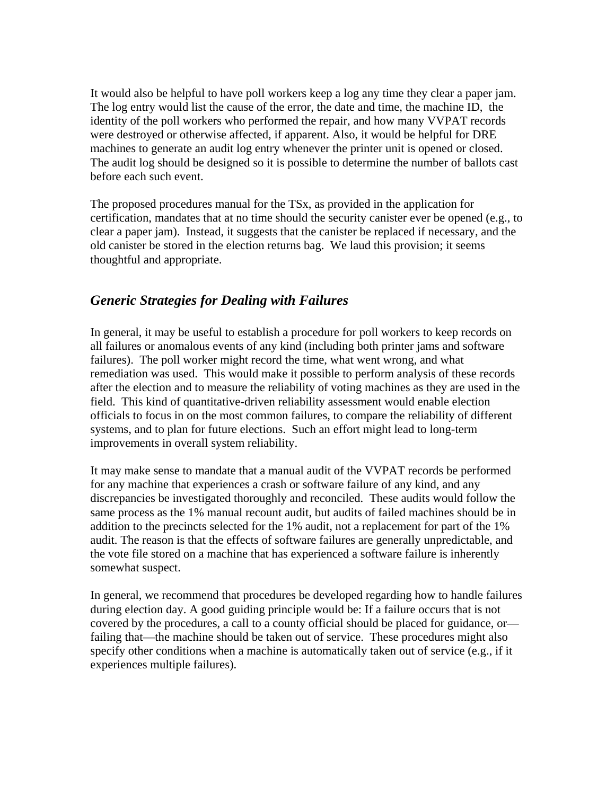It would also be helpful to have poll workers keep a log any time they clear a paper jam. The log entry would list the cause of the error, the date and time, the machine ID, the identity of the poll workers who performed the repair, and how many VVPAT records were destroyed or otherwise affected, if apparent. Also, it would be helpful for DRE machines to generate an audit log entry whenever the printer unit is opened or closed. The audit log should be designed so it is possible to determine the number of ballots cast before each such event.

The proposed procedures manual for the TSx, as provided in the application for certification, mandates that at no time should the security canister ever be opened (e.g., to clear a paper jam). Instead, it suggests that the canister be replaced if necessary, and the old canister be stored in the election returns bag. We laud this provision; it seems thoughtful and appropriate.

## *Generic Strategies for Dealing with Failures*

In general, it may be useful to establish a procedure for poll workers to keep records on all failures or anomalous events of any kind (including both printer jams and software failures). The poll worker might record the time, what went wrong, and what remediation was used. This would make it possible to perform analysis of these records after the election and to measure the reliability of voting machines as they are used in the field. This kind of quantitative-driven reliability assessment would enable election officials to focus in on the most common failures, to compare the reliability of different systems, and to plan for future elections. Such an effort might lead to long-term improvements in overall system reliability.

It may make sense to mandate that a manual audit of the VVPAT records be performed for any machine that experiences a crash or software failure of any kind, and any discrepancies be investigated thoroughly and reconciled. These audits would follow the same process as the 1% manual recount audit, but audits of failed machines should be in addition to the precincts selected for the 1% audit, not a replacement for part of the 1% audit. The reason is that the effects of software failures are generally unpredictable, and the vote file stored on a machine that has experienced a software failure is inherently somewhat suspect.

In general, we recommend that procedures be developed regarding how to handle failures during election day. A good guiding principle would be: If a failure occurs that is not covered by the procedures, a call to a county official should be placed for guidance, or failing that—the machine should be taken out of service. These procedures might also specify other conditions when a machine is automatically taken out of service (e.g., if it experiences multiple failures).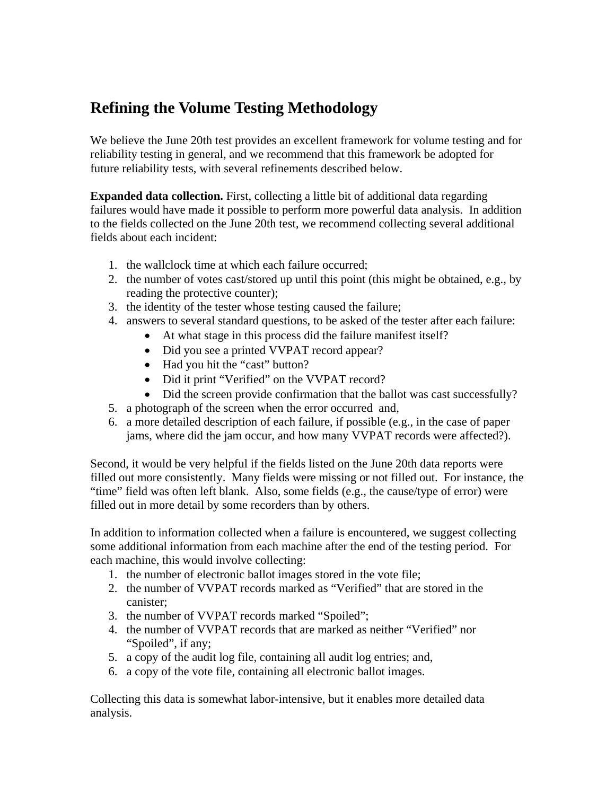# **Refining the Volume Testing Methodology**

We believe the June 20th test provides an excellent framework for volume testing and for reliability testing in general, and we recommend that this framework be adopted for future reliability tests, with several refinements described below.

**Expanded data collection.** First, collecting a little bit of additional data regarding failures would have made it possible to perform more powerful data analysis. In addition to the fields collected on the June 20th test, we recommend collecting several additional fields about each incident:

- 1. the wallclock time at which each failure occurred;
- 2. the number of votes cast/stored up until this point (this might be obtained, e.g., by reading the protective counter);
- 3. the identity of the tester whose testing caused the failure;
- 4. answers to several standard questions, to be asked of the tester after each failure:
	- At what stage in this process did the failure manifest itself?
	- Did you see a printed VVPAT record appear?
	- Had you hit the "cast" button?
	- Did it print "Verified" on the VVPAT record?
	- Did the screen provide confirmation that the ballot was cast successfully?
- 5. a photograph of the screen when the error occurred and,
- 6. a more detailed description of each failure, if possible (e.g., in the case of paper jams, where did the jam occur, and how many VVPAT records were affected?).

Second, it would be very helpful if the fields listed on the June 20th data reports were filled out more consistently. Many fields were missing or not filled out. For instance, the "time" field was often left blank. Also, some fields (e.g., the cause/type of error) were filled out in more detail by some recorders than by others.

In addition to information collected when a failure is encountered, we suggest collecting some additional information from each machine after the end of the testing period. For each machine, this would involve collecting:

- 1. the number of electronic ballot images stored in the vote file;
- 2. the number of VVPAT records marked as "Verified" that are stored in the canister;
- 3. the number of VVPAT records marked "Spoiled";
- 4. the number of VVPAT records that are marked as neither "Verified" nor "Spoiled", if any;
- 5. a copy of the audit log file, containing all audit log entries; and,
- 6. a copy of the vote file, containing all electronic ballot images.

Collecting this data is somewhat labor-intensive, but it enables more detailed data analysis.